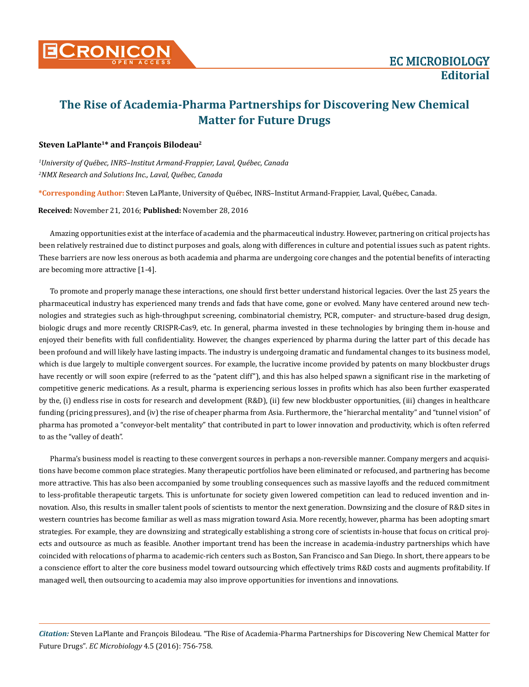

## **The Rise of Academia-Pharma Partnerships for Discovering New Chemical Matter for Future Drugs**

## **Steven LaPlante1\* and François Bilodeau2**

*1 University of Québec, INRS–Institut Armand-Frappier, Laval, Québec, Canada 2 NMX Research and Solutions Inc., Laval, Québec, Canada*

**\*Corresponding Author:** Steven LaPlante, University of Québec, INRS–Institut Armand-Frappier, Laval, Québec, Canada.

**Received:** November 21, 2016; **Published:** November 28, 2016

Amazing opportunities exist at the interface of academia and the pharmaceutical industry. However, partnering on critical projects has been relatively restrained due to distinct purposes and goals, along with differences in culture and potential issues such as patent rights. These barriers are now less onerous as both academia and pharma are undergoing core changes and the potential benefits of interacting are becoming more attractive [1-4].

To promote and properly manage these interactions, one should first better understand historical legacies. Over the last 25 years the pharmaceutical industry has experienced many trends and fads that have come, gone or evolved. Many have centered around new technologies and strategies such as high-throughput screening, combinatorial chemistry, PCR, computer- and structure-based drug design, biologic drugs and more recently CRISPR-Cas9, etc. In general, pharma invested in these technologies by bringing them in-house and enjoyed their benefits with full confidentiality. However, the changes experienced by pharma during the latter part of this decade has been profound and will likely have lasting impacts. The industry is undergoing dramatic and fundamental changes to its business model, which is due largely to multiple convergent sources. For example, the lucrative income provided by patents on many blockbuster drugs have recently or will soon expire (referred to as the "patent cliff"), and this has also helped spawn a significant rise in the marketing of competitive generic medications. As a result, pharma is experiencing serious losses in profits which has also been further exasperated by the, (i) endless rise in costs for research and development (R&D), (ii) few new blockbuster opportunities, (iii) changes in healthcare funding (pricing pressures), and (iv) the rise of cheaper pharma from Asia. Furthermore, the "hierarchal mentality" and "tunnel vision" of pharma has promoted a "conveyor-belt mentality" that contributed in part to lower innovation and productivity, which is often referred to as the "valley of death".

Pharma's business model is reacting to these convergent sources in perhaps a non-reversible manner. Company mergers and acquisitions have become common place strategies. Many therapeutic portfolios have been eliminated or refocused, and partnering has become more attractive. This has also been accompanied by some troubling consequences such as massive layoffs and the reduced commitment to less-profitable therapeutic targets. This is unfortunate for society given lowered competition can lead to reduced invention and innovation. Also, this results in smaller talent pools of scientists to mentor the next generation. Downsizing and the closure of R&D sites in western countries has become familiar as well as mass migration toward Asia. More recently, however, pharma has been adopting smart strategies. For example, they are downsizing and strategically establishing a strong core of scientists in-house that focus on critical projects and outsource as much as feasible. Another important trend has been the increase in academia-industry partnerships which have coincided with relocations of pharma to academic-rich centers such as Boston, San Francisco and San Diego. In short, there appears to be a conscience effort to alter the core business model toward outsourcing which effectively trims R&D costs and augments profitability. If managed well, then outsourcing to academia may also improve opportunities for inventions and innovations.

*Citation:* Steven LaPlante and François Bilodeau. "The Rise of Academia-Pharma Partnerships for Discovering New Chemical Matter for Future Drugs". *EC Microbiology* 4.5 (2016): 756-758.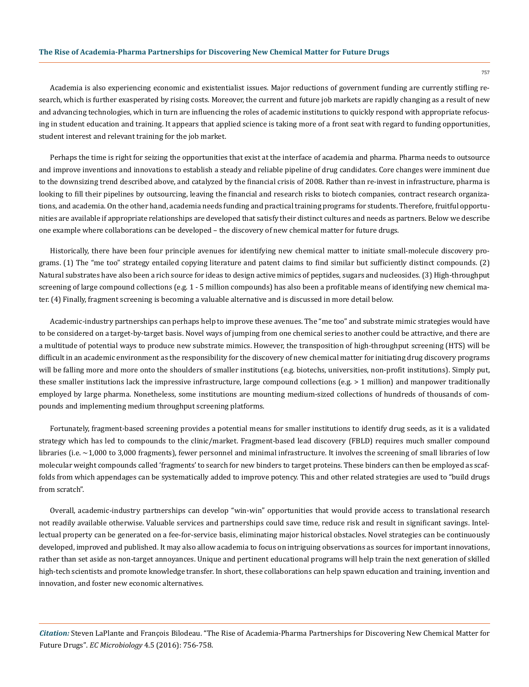## **The Rise of Academia-Pharma Partnerships for Discovering New Chemical Matter for Future Drugs**

Academia is also experiencing economic and existentialist issues. Major reductions of government funding are currently stifling research, which is further exasperated by rising costs. Moreover, the current and future job markets are rapidly changing as a result of new and advancing technologies, which in turn are influencing the roles of academic institutions to quickly respond with appropriate refocusing in student education and training. It appears that applied science is taking more of a front seat with regard to funding opportunities, student interest and relevant training for the job market.

Perhaps the time is right for seizing the opportunities that exist at the interface of academia and pharma. Pharma needs to outsource and improve inventions and innovations to establish a steady and reliable pipeline of drug candidates. Core changes were imminent due to the downsizing trend described above, and catalyzed by the financial crisis of 2008. Rather than re-invest in infrastructure, pharma is looking to fill their pipelines by outsourcing, leaving the financial and research risks to biotech companies, contract research organizations, and academia. On the other hand, academia needs funding and practical training programs for students. Therefore, fruitful opportunities are available if appropriate relationships are developed that satisfy their distinct cultures and needs as partners. Below we describe one example where collaborations can be developed – the discovery of new chemical matter for future drugs.

Historically, there have been four principle avenues for identifying new chemical matter to initiate small-molecule discovery programs. (1) The "me too" strategy entailed copying literature and patent claims to find similar but sufficiently distinct compounds. (2) Natural substrates have also been a rich source for ideas to design active mimics of peptides, sugars and nucleosides. (3) High-throughput screening of large compound collections (e.g. 1 - 5 million compounds) has also been a profitable means of identifying new chemical mater. (4) Finally, fragment screening is becoming a valuable alternative and is discussed in more detail below.

Academic-industry partnerships can perhaps help to improve these avenues. The "me too" and substrate mimic strategies would have to be considered on a target-by-target basis. Novel ways of jumping from one chemical series to another could be attractive, and there are a multitude of potential ways to produce new substrate mimics. However, the transposition of high-throughput screening (HTS) will be difficult in an academic environment as the responsibility for the discovery of new chemical matter for initiating drug discovery programs will be falling more and more onto the shoulders of smaller institutions (e.g. biotechs, universities, non-profit institutions). Simply put, these smaller institutions lack the impressive infrastructure, large compound collections (e.g. > 1 million) and manpower traditionally employed by large pharma. Nonetheless, some institutions are mounting medium-sized collections of hundreds of thousands of compounds and implementing medium throughput screening platforms.

Fortunately, fragment-based screening provides a potential means for smaller institutions to identify drug seeds, as it is a validated strategy which has led to compounds to the clinic/market. Fragment-based lead discovery (FBLD) requires much smaller compound libraries (i.e.  $\sim$ 1,000 to 3,000 fragments), fewer personnel and minimal infrastructure. It involves the screening of small libraries of low molecular weight compounds called 'fragments' to search for new binders to target proteins. These binders can then be employed as scaffolds from which appendages can be systematically added to improve potency. This and other related strategies are used to "build drugs from scratch".

Overall, academic-industry partnerships can develop "win-win" opportunities that would provide access to translational research not readily available otherwise. Valuable services and partnerships could save time, reduce risk and result in significant savings. Intellectual property can be generated on a fee-for-service basis, eliminating major historical obstacles. Novel strategies can be continuously developed, improved and published. It may also allow academia to focus on intriguing observations as sources for important innovations, rather than set aside as non-target annoyances. Unique and pertinent educational programs will help train the next generation of skilled high-tech scientists and promote knowledge transfer. In short, these collaborations can help spawn education and training, invention and innovation, and foster new economic alternatives.

*Citation:* Steven LaPlante and François Bilodeau. "The Rise of Academia-Pharma Partnerships for Discovering New Chemical Matter for Future Drugs". *EC Microbiology* 4.5 (2016): 756-758.

757